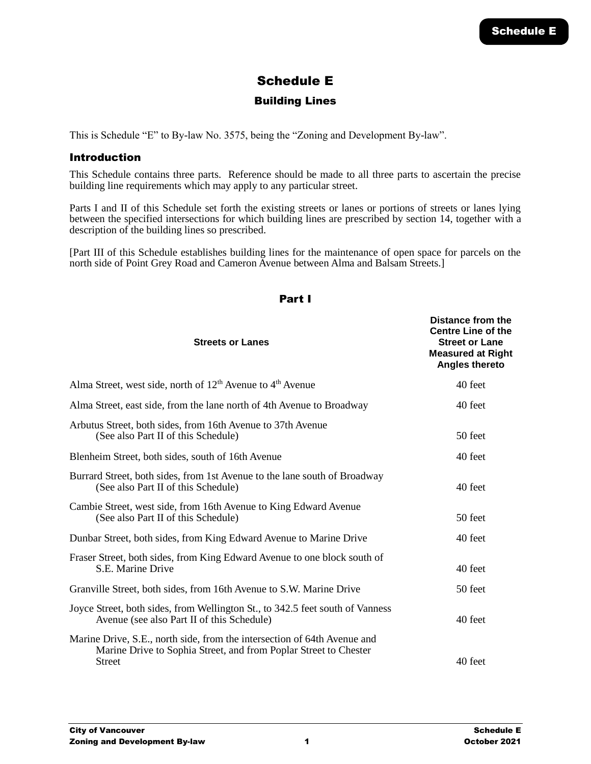# Schedule E

# Building Lines

This is Schedule "E" to By-law No. 3575, being the "Zoning and Development By-law".

# Introduction

This Schedule contains three parts. Reference should be made to all three parts to ascertain the precise building line requirements which may apply to any particular street.

Parts I and II of this Schedule set forth the existing streets or lanes or portions of streets or lanes lying between the specified intersections for which building lines are prescribed by section 14, together with a description of the building lines so prescribed.

[Part III of this Schedule establishes building lines for the maintenance of open space for parcels on the north side of Point Grey Road and Cameron Avenue between Alma and Balsam Streets.]

| <b>Streets or Lanes</b>                                                                                                                                       | Distance from the<br><b>Centre Line of the</b><br><b>Street or Lane</b><br><b>Measured at Right</b><br><b>Angles thereto</b> |
|---------------------------------------------------------------------------------------------------------------------------------------------------------------|------------------------------------------------------------------------------------------------------------------------------|
| Alma Street, west side, north of $12th$ Avenue to $4th$ Avenue                                                                                                | 40 feet                                                                                                                      |
| Alma Street, east side, from the lane north of 4th Avenue to Broadway                                                                                         | 40 feet                                                                                                                      |
| Arbutus Street, both sides, from 16th Avenue to 37th Avenue<br>(See also Part II of this Schedule)                                                            | 50 feet                                                                                                                      |
| Blenheim Street, both sides, south of 16th Avenue                                                                                                             | 40 feet                                                                                                                      |
| Burrard Street, both sides, from 1st Avenue to the lane south of Broadway<br>(See also Part II of this Schedule)                                              | 40 feet                                                                                                                      |
| Cambie Street, west side, from 16th Avenue to King Edward Avenue<br>(See also Part II of this Schedule)                                                       | 50 feet                                                                                                                      |
| Dunbar Street, both sides, from King Edward Avenue to Marine Drive                                                                                            | 40 feet                                                                                                                      |
| Fraser Street, both sides, from King Edward Avenue to one block south of<br>S.E. Marine Drive                                                                 | 40 feet                                                                                                                      |
| Granville Street, both sides, from 16th Avenue to S.W. Marine Drive                                                                                           | 50 feet                                                                                                                      |
| Joyce Street, both sides, from Wellington St., to 342.5 feet south of Vanness<br>Avenue (see also Part II of this Schedule)                                   | 40 feet                                                                                                                      |
| Marine Drive, S.E., north side, from the intersection of 64th Avenue and<br>Marine Drive to Sophia Street, and from Poplar Street to Chester<br><b>Street</b> | 40 feet                                                                                                                      |

#### Part I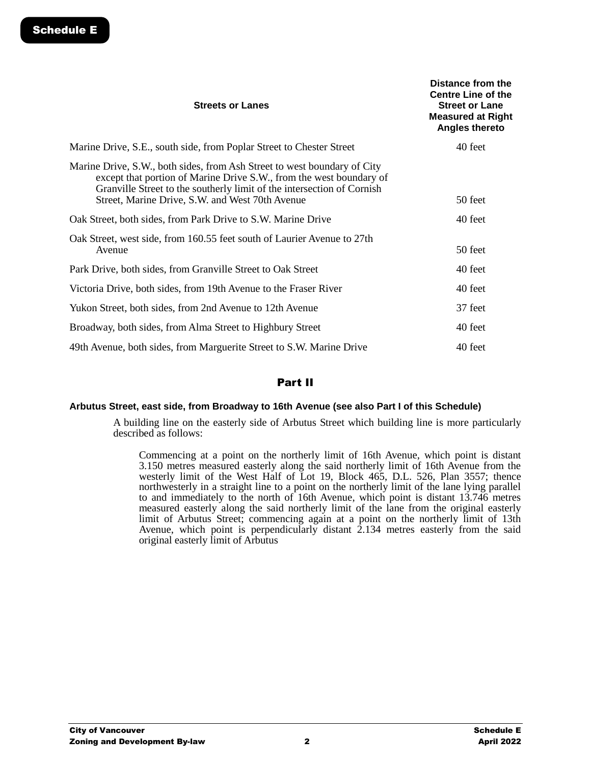| <b>Streets or Lanes</b>                                                                                                                                                                                                                                                      | Distance from the<br><b>Centre Line of the</b><br><b>Street or Lane</b><br><b>Measured at Right</b><br><b>Angles thereto</b> |
|------------------------------------------------------------------------------------------------------------------------------------------------------------------------------------------------------------------------------------------------------------------------------|------------------------------------------------------------------------------------------------------------------------------|
| Marine Drive, S.E., south side, from Poplar Street to Chester Street                                                                                                                                                                                                         | 40 feet                                                                                                                      |
| Marine Drive, S.W., both sides, from Ash Street to west boundary of City<br>except that portion of Marine Drive S.W., from the west boundary of<br>Granville Street to the southerly limit of the intersection of Cornish<br>Street, Marine Drive, S.W. and West 70th Avenue | 50 feet                                                                                                                      |
| Oak Street, both sides, from Park Drive to S.W. Marine Drive                                                                                                                                                                                                                 | 40 feet                                                                                                                      |
| Oak Street, west side, from 160.55 feet south of Laurier Avenue to 27th<br>Avenue                                                                                                                                                                                            | 50 feet                                                                                                                      |
| Park Drive, both sides, from Granville Street to Oak Street                                                                                                                                                                                                                  | 40 feet                                                                                                                      |
| Victoria Drive, both sides, from 19th Avenue to the Fraser River                                                                                                                                                                                                             | 40 feet                                                                                                                      |
| Yukon Street, both sides, from 2nd Avenue to 12th Avenue                                                                                                                                                                                                                     | 37 feet                                                                                                                      |
| Broadway, both sides, from Alma Street to Highbury Street                                                                                                                                                                                                                    | 40 feet                                                                                                                      |
| 49th Avenue, both sides, from Marguerite Street to S.W. Marine Drive                                                                                                                                                                                                         | 40 feet                                                                                                                      |

# Part II

#### **Arbutus Street, east side, from Broadway to 16th Avenue (see also Part I of this Schedule)**

A building line on the easterly side of Arbutus Street which building line is more particularly described as follows:

Commencing at a point on the northerly limit of 16th Avenue, which point is distant 3.150 metres measured easterly along the said northerly limit of 16th Avenue from the westerly limit of the West Half of Lot 19, Block 465, D.L. 526, Plan 3557; thence northwesterly in a straight line to a point on the northerly limit of the lane lying parallel to and immediately to the north of 16th Avenue, which point is distant 13.746 metres measured easterly along the said northerly limit of the lane from the original easterly limit of Arbutus Street; commencing again at a point on the northerly limit of 13th Avenue, which point is perpendicularly distant 2.134 metres easterly from the said original easterly limit of Arbutus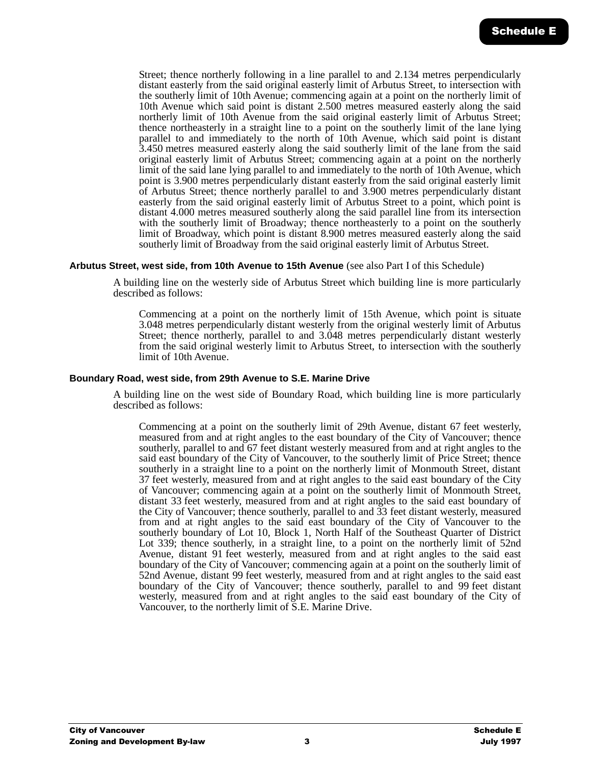Street; thence northerly following in a line parallel to and 2.134 metres perpendicularly distant easterly from the said original easterly limit of Arbutus Street, to intersection with the southerly limit of 10th Avenue; commencing again at a point on the northerly limit of 10th Avenue which said point is distant 2.500 metres measured easterly along the said northerly limit of 10th Avenue from the said original easterly limit of Arbutus Street; thence northeasterly in a straight line to a point on the southerly limit of the lane lying parallel to and immediately to the north of 10th Avenue, which said point is distant 3.450 metres measured easterly along the said southerly limit of the lane from the said original easterly limit of Arbutus Street; commencing again at a point on the northerly limit of the said lane lying parallel to and immediately to the north of 10th Avenue, which point is 3.900 metres perpendicularly distant easterly from the said original easterly limit of Arbutus Street; thence northerly parallel to and 3.900 metres perpendicularly distant easterly from the said original easterly limit of Arbutus Street to a point, which point is distant 4.000 metres measured southerly along the said parallel line from its intersection with the southerly limit of Broadway; thence northeasterly to a point on the southerly limit of Broadway, which point is distant 8.900 metres measured easterly along the said southerly limit of Broadway from the said original easterly limit of Arbutus Street.

#### **Arbutus Street, west side, from 10th Avenue to 15th Avenue** (see also Part I of this Schedule)

A building line on the westerly side of Arbutus Street which building line is more particularly described as follows:

Commencing at a point on the northerly limit of 15th Avenue, which point is situate 3.048 metres perpendicularly distant westerly from the original westerly limit of Arbutus Street; thence northerly, parallel to and 3.048 metres perpendicularly distant westerly from the said original westerly limit to Arbutus Street, to intersection with the southerly limit of 10th Avenue.

#### **Boundary Road, west side, from 29th Avenue to S.E. Marine Drive**

A building line on the west side of Boundary Road, which building line is more particularly described as follows:

Commencing at a point on the southerly limit of 29th Avenue, distant 67 feet westerly, measured from and at right angles to the east boundary of the City of Vancouver; thence southerly, parallel to and 67 feet distant westerly measured from and at right angles to the said east boundary of the City of Vancouver, to the southerly limit of Price Street; thence southerly in a straight line to a point on the northerly limit of Monmouth Street, distant 37 feet westerly, measured from and at right angles to the said east boundary of the City of Vancouver; commencing again at a point on the southerly limit of Monmouth Street, distant 33 feet westerly, measured from and at right angles to the said east boundary of the City of Vancouver; thence southerly, parallel to and 33 feet distant westerly, measured from and at right angles to the said east boundary of the City of Vancouver to the southerly boundary of Lot 10, Block 1, North Half of the Southeast Quarter of District Lot 339; thence southerly, in a straight line, to a point on the northerly limit of 52nd Avenue, distant 91 feet westerly, measured from and at right angles to the said east boundary of the City of Vancouver; commencing again at a point on the southerly limit of 52nd Avenue, distant 99 feet westerly, measured from and at right angles to the said east boundary of the City of Vancouver; thence southerly, parallel to and 99 feet distant westerly, measured from and at right angles to the said east boundary of the City of Vancouver, to the northerly limit of S.E. Marine Drive.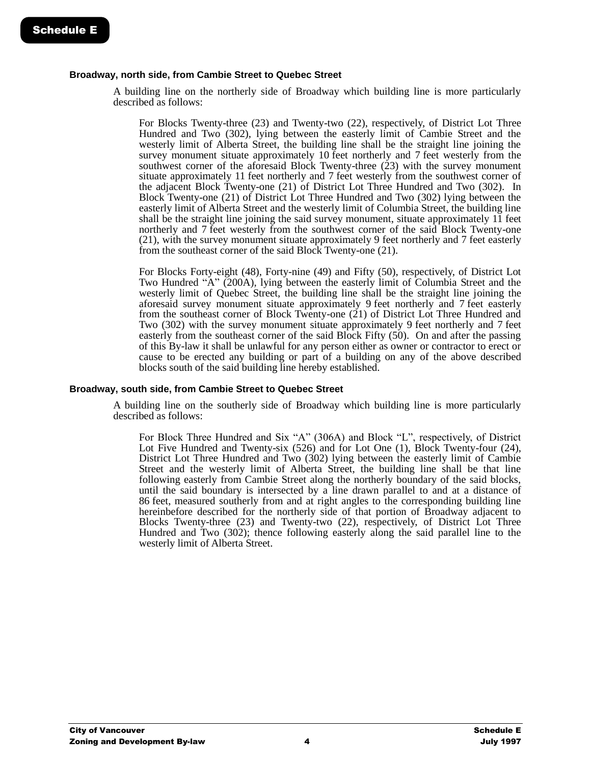#### **Broadway, north side, from Cambie Street to Quebec Street**

A building line on the northerly side of Broadway which building line is more particularly described as follows:

For Blocks Twenty-three (23) and Twenty-two (22), respectively, of District Lot Three Hundred and Two (302), lying between the easterly limit of Cambie Street and the westerly limit of Alberta Street, the building line shall be the straight line joining the survey monument situate approximately 10 feet northerly and 7 feet westerly from the southwest corner of the aforesaid Block Twenty-three (23) with the survey monument situate approximately 11 feet northerly and 7 feet westerly from the southwest corner of the adjacent Block Twenty-one (21) of District Lot Three Hundred and Two (302). In Block Twenty-one (21) of District Lot Three Hundred and Two (302) lying between the easterly limit of Alberta Street and the westerly limit of Columbia Street, the building line shall be the straight line joining the said survey monument, situate approximately 11 feet northerly and 7 feet westerly from the southwest corner of the said Block Twenty-one (21), with the survey monument situate approximately 9 feet northerly and 7 feet easterly from the southeast corner of the said Block Twenty-one (21).

For Blocks Forty-eight (48), Forty-nine (49) and Fifty (50), respectively, of District Lot Two Hundred "A" (200A), lying between the easterly limit of Columbia Street and the westerly limit of Quebec Street, the building line shall be the straight line joining the aforesaid survey monument situate approximately 9 feet northerly and 7 feet easterly from the southeast corner of Block Twenty-one (21) of District Lot Three Hundred and Two (302) with the survey monument situate approximately 9 feet northerly and 7 feet easterly from the southeast corner of the said Block Fifty (50). On and after the passing of this By-law it shall be unlawful for any person either as owner or contractor to erect or cause to be erected any building or part of a building on any of the above described blocks south of the said building line hereby established.

#### **Broadway, south side, from Cambie Street to Quebec Street**

A building line on the southerly side of Broadway which building line is more particularly described as follows:

For Block Three Hundred and Six "A" (306A) and Block "L", respectively, of District Lot Five Hundred and Twenty-six (526) and for Lot One (1), Block Twenty-four (24), District Lot Three Hundred and Two (302) lying between the easterly limit of Cambie Street and the westerly limit of Alberta Street, the building line shall be that line following easterly from Cambie Street along the northerly boundary of the said blocks, until the said boundary is intersected by a line drawn parallel to and at a distance of 86 feet, measured southerly from and at right angles to the corresponding building line hereinbefore described for the northerly side of that portion of Broadway adjacent to Blocks Twenty-three (23) and Twenty-two (22), respectively, of District Lot Three Hundred and Two (302); thence following easterly along the said parallel line to the westerly limit of Alberta Street.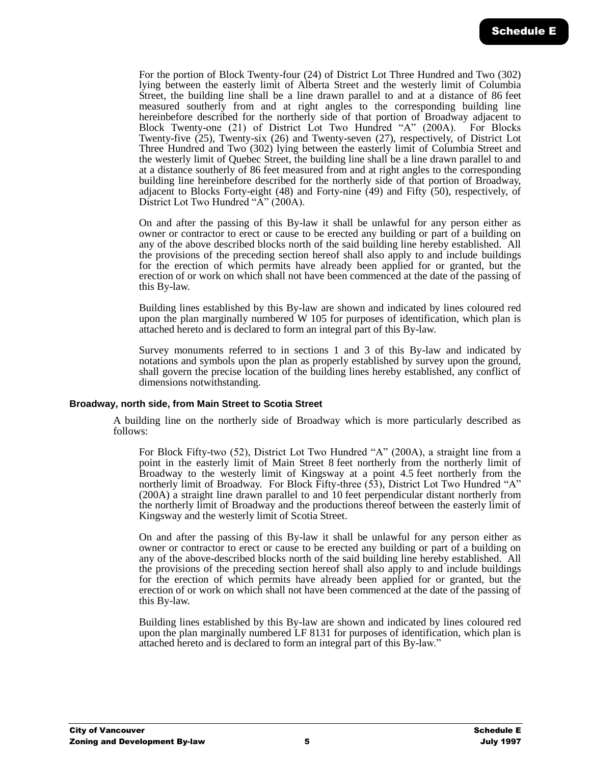For the portion of Block Twenty-four (24) of District Lot Three Hundred and Two (302) lying between the easterly limit of Alberta Street and the westerly limit of Columbia Street, the building line shall be a line drawn parallel to and at a distance of 86 feet measured southerly from and at right angles to the corresponding building line hereinbefore described for the northerly side of that portion of Broadway adjacent to Block Twenty-one (21) of District Lot Two Hundred "A" (200A). For Blocks Twenty-five (25), Twenty-six (26) and Twenty-seven (27), respectively, of District Lot Three Hundred and Two (302) lying between the easterly limit of Columbia Street and the westerly limit of Quebec Street, the building line shall be a line drawn parallel to and at a distance southerly of 86 feet measured from and at right angles to the corresponding building line hereinbefore described for the northerly side of that portion of Broadway, adjacent to Blocks Forty-eight (48) and Forty-nine (49) and Fifty (50), respectively, of District Lot Two Hundred "A" (200A).

On and after the passing of this By-law it shall be unlawful for any person either as owner or contractor to erect or cause to be erected any building or part of a building on any of the above described blocks north of the said building line hereby established. All the provisions of the preceding section hereof shall also apply to and include buildings for the erection of which permits have already been applied for or granted, but the erection of or work on which shall not have been commenced at the date of the passing of this By-law.

Building lines established by this By-law are shown and indicated by lines coloured red upon the plan marginally numbered W 105 for purposes of identification, which plan is attached hereto and is declared to form an integral part of this By-law.

Survey monuments referred to in sections 1 and 3 of this By-law and indicated by notations and symbols upon the plan as properly established by survey upon the ground, shall govern the precise location of the building lines hereby established, any conflict of dimensions notwithstanding.

#### **Broadway, north side, from Main Street to Scotia Street**

A building line on the northerly side of Broadway which is more particularly described as follows:

For Block Fifty-two (52), District Lot Two Hundred "A" (200A), a straight line from a point in the easterly limit of Main Street 8 feet northerly from the northerly limit of Broadway to the westerly limit of Kingsway at a point 4.5 feet northerly from the northerly limit of Broadway. For Block Fifty-three (53), District Lot Two Hundred "A" (200A) a straight line drawn parallel to and 10 feet perpendicular distant northerly from the northerly limit of Broadway and the productions thereof between the easterly limit of Kingsway and the westerly limit of Scotia Street.

On and after the passing of this By-law it shall be unlawful for any person either as owner or contractor to erect or cause to be erected any building or part of a building on any of the above-described blocks north of the said building line hereby established. All the provisions of the preceding section hereof shall also apply to and include buildings for the erection of which permits have already been applied for or granted, but the erection of or work on which shall not have been commenced at the date of the passing of this By-law.

Building lines established by this By-law are shown and indicated by lines coloured red upon the plan marginally numbered LF 8131 for purposes of identification, which plan is attached hereto and is declared to form an integral part of this By-law."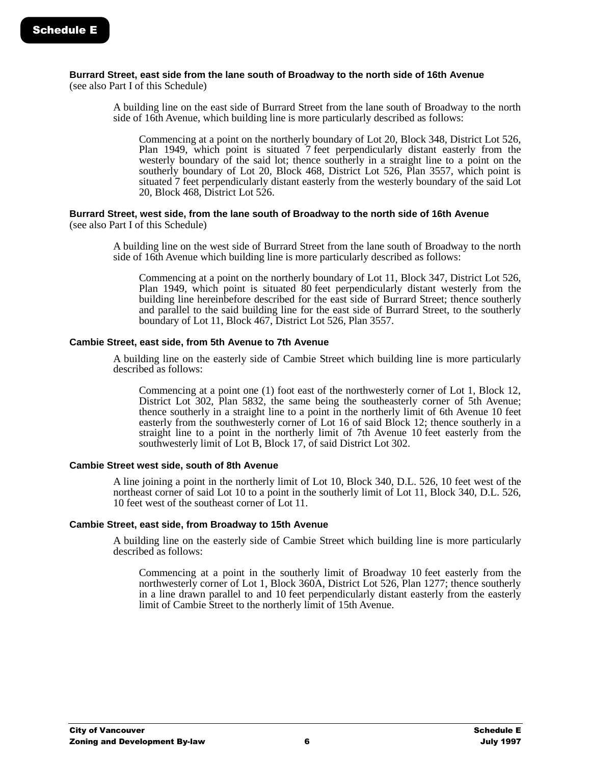# **Burrard Street, east side from the lane south of Broadway to the north side of 16th Avenue**

(see also Part I of this Schedule)

A building line on the east side of Burrard Street from the lane south of Broadway to the north side of 16th Avenue, which building line is more particularly described as follows:

Commencing at a point on the northerly boundary of Lot 20, Block 348, District Lot 526, Plan 1949, which point is situated 7 feet perpendicularly distant easterly from the westerly boundary of the said lot; thence southerly in a straight line to a point on the southerly boundary of Lot 20, Block 468, District Lot 526, Plan 3557, which point is situated 7 feet perpendicularly distant easterly from the westerly boundary of the said Lot 20, Block 468, District Lot 526.

#### **Burrard Street, west side, from the lane south of Broadway to the north side of 16th Avenue**  (see also Part I of this Schedule)

A building line on the west side of Burrard Street from the lane south of Broadway to the north side of 16th Avenue which building line is more particularly described as follows:

Commencing at a point on the northerly boundary of Lot 11, Block 347, District Lot 526, Plan 1949, which point is situated 80 feet perpendicularly distant westerly from the building line hereinbefore described for the east side of Burrard Street; thence southerly and parallel to the said building line for the east side of Burrard Street, to the southerly boundary of Lot 11, Block 467, District Lot 526, Plan 3557.

## **Cambie Street, east side, from 5th Avenue to 7th Avenue**

A building line on the easterly side of Cambie Street which building line is more particularly described as follows:

Commencing at a point one (1) foot east of the northwesterly corner of Lot 1, Block 12, District Lot 302, Plan 5832, the same being the southeasterly corner of 5th Avenue; thence southerly in a straight line to a point in the northerly limit of 6th Avenue 10 feet easterly from the southwesterly corner of Lot 16 of said Block 12; thence southerly in a straight line to a point in the northerly limit of 7th Avenue 10 feet easterly from the southwesterly limit of Lot B, Block 17, of said District Lot 302.

#### **Cambie Street west side, south of 8th Avenue**

A line joining a point in the northerly limit of Lot 10, Block 340, D.L. 526, 10 feet west of the northeast corner of said Lot 10 to a point in the southerly limit of Lot 11, Block 340, D.L. 526, 10 feet west of the southeast corner of Lot 11.

## **Cambie Street, east side, from Broadway to 15th Avenue**

A building line on the easterly side of Cambie Street which building line is more particularly described as follows:

Commencing at a point in the southerly limit of Broadway 10 feet easterly from the northwesterly corner of Lot 1, Block 360A, District Lot 526, Plan 1277; thence southerly in a line drawn parallel to and 10 feet perpendicularly distant easterly from the easterly limit of Cambie Street to the northerly limit of 15th Avenue.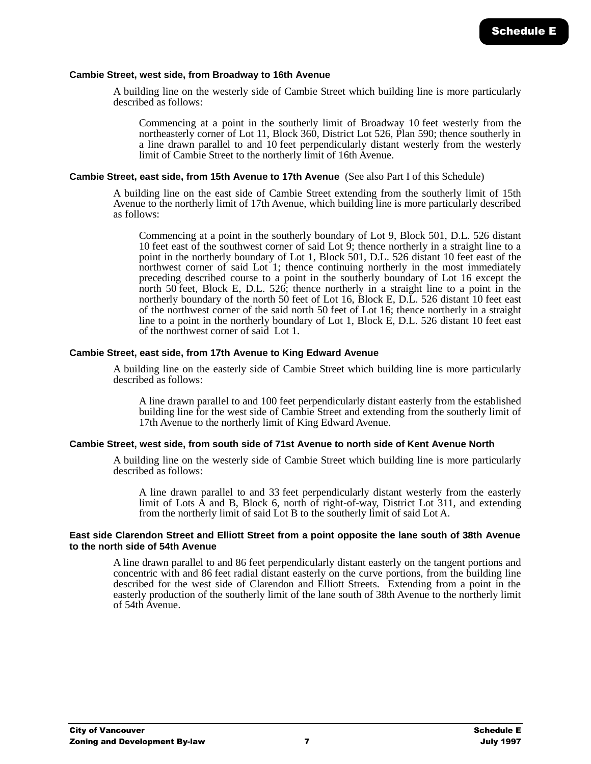#### **Cambie Street, west side, from Broadway to 16th Avenue**

A building line on the westerly side of Cambie Street which building line is more particularly described as follows:

Commencing at a point in the southerly limit of Broadway 10 feet westerly from the northeasterly corner of Lot 11, Block 360, District Lot 526, Plan 590; thence southerly in a line drawn parallel to and 10 feet perpendicularly distant westerly from the westerly limit of Cambie Street to the northerly limit of 16th Avenue.

#### **Cambie Street, east side, from 15th Avenue to 17th Avenue** (See also Part I of this Schedule)

A building line on the east side of Cambie Street extending from the southerly limit of 15th Avenue to the northerly limit of 17th Avenue, which building line is more particularly described as follows:

Commencing at a point in the southerly boundary of Lot 9, Block 501, D.L. 526 distant 10 feet east of the southwest corner of said Lot  $\dot{9}$ ; thence northerly in a straight line to a point in the northerly boundary of Lot 1, Block 501, D.L. 526 distant 10 feet east of the northwest corner of said Lot 1; thence continuing northerly in the most immediately preceding described course to a point in the southerly boundary of Lot 16 except the north 50 feet, Block E, D.L. 526; thence northerly in a straight line to a point in the northerly boundary of the north 50 feet of Lot 16, Block E, D.L. 526 distant 10 feet east of the northwest corner of the said north 50 feet of Lot 16; thence northerly in a straight line to a point in the northerly boundary of Lot 1, Block E, D.L. 526 distant 10 feet east of the northwest corner of said Lot 1.

#### **Cambie Street, east side, from 17th Avenue to King Edward Avenue**

A building line on the easterly side of Cambie Street which building line is more particularly described as follows:

A line drawn parallel to and 100 feet perpendicularly distant easterly from the established building line for the west side of Cambie Street and extending from the southerly limit of 17th Avenue to the northerly limit of King Edward Avenue.

#### **Cambie Street, west side, from south side of 71st Avenue to north side of Kent Avenue North**

A building line on the westerly side of Cambie Street which building line is more particularly described as follows:

A line drawn parallel to and 33 feet perpendicularly distant westerly from the easterly limit of Lots A and B, Block 6, north of right-of-way, District Lot 311, and extending from the northerly limit of said Lot B to the southerly limit of said Lot A.

#### **East side Clarendon Street and Elliott Street from a point opposite the lane south of 38th Avenue to the north side of 54th Avenue**

A line drawn parallel to and 86 feet perpendicularly distant easterly on the tangent portions and concentric with and 86 feet radial distant easterly on the curve portions, from the building line described for the west side of Clarendon and Elliott Streets. Extending from a point in the easterly production of the southerly limit of the lane south of 38th Avenue to the northerly limit of 54th Avenue.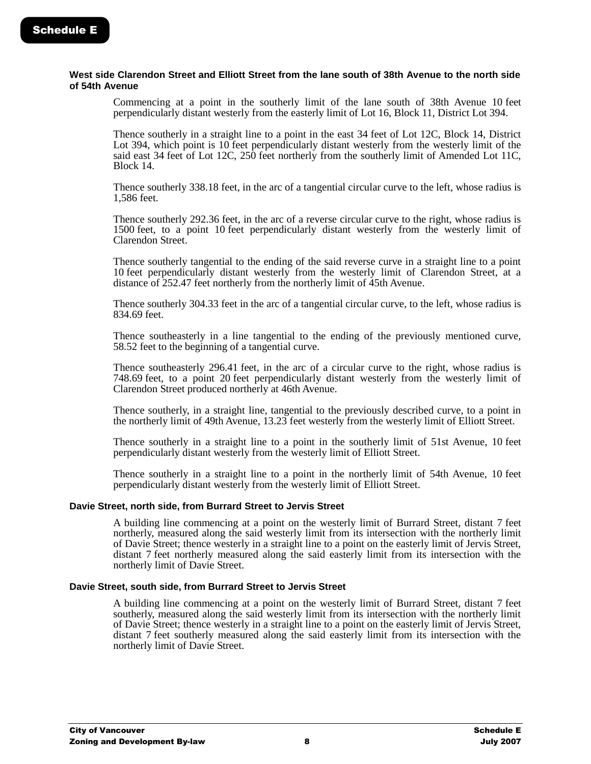#### **West side Clarendon Street and Elliott Street from the lane south of 38th Avenue to the north side of 54th Avenue**

Commencing at a point in the southerly limit of the lane south of 38th Avenue 10 feet perpendicularly distant westerly from the easterly limit of Lot 16, Block 11, District Lot 394.

Thence southerly in a straight line to a point in the east 34 feet of Lot 12C, Block 14, District Lot 394, which point is 10 feet perpendicularly distant westerly from the westerly limit of the said east 34 feet of Lot 12C, 250 feet northerly from the southerly limit of Amended Lot 11C, Block 14.

Thence southerly 338.18 feet, in the arc of a tangential circular curve to the left, whose radius is 1,586 feet.

Thence southerly 292.36 feet, in the arc of a reverse circular curve to the right, whose radius is 1500 feet, to a point 10 feet perpendicularly distant westerly from the westerly limit of Clarendon Street.

Thence southerly tangential to the ending of the said reverse curve in a straight line to a point 10 feet perpendicularly distant westerly from the westerly limit of Clarendon Street, at a distance of 252.47 feet northerly from the northerly limit of 45th Avenue.

Thence southerly 304.33 feet in the arc of a tangential circular curve, to the left, whose radius is 834.69 feet.

Thence southeasterly in a line tangential to the ending of the previously mentioned curve, 58.52 feet to the beginning of a tangential curve.

Thence southeasterly 296.41 feet, in the arc of a circular curve to the right, whose radius is 748.69 feet, to a point 20 feet perpendicularly distant westerly from the westerly limit of Clarendon Street produced northerly at 46th Avenue.

Thence southerly, in a straight line, tangential to the previously described curve, to a point in the northerly limit of 49th Avenue, 13.23 feet westerly from the westerly limit of Elliott Street.

Thence southerly in a straight line to a point in the southerly limit of 51st Avenue, 10 feet perpendicularly distant westerly from the westerly limit of Elliott Street.

Thence southerly in a straight line to a point in the northerly limit of 54th Avenue, 10 feet perpendicularly distant westerly from the westerly limit of Elliott Street.

#### **Davie Street, north side, from Burrard Street to Jervis Street**

A building line commencing at a point on the westerly limit of Burrard Street, distant 7 feet northerly, measured along the said westerly limit from its intersection with the northerly limit of Davie Street; thence westerly in a straight line to a point on the easterly limit of Jervis Street, distant 7 feet northerly measured along the said easterly limit from its intersection with the northerly limit of Davie Street.

#### **Davie Street, south side, from Burrard Street to Jervis Street**

A building line commencing at a point on the westerly limit of Burrard Street, distant 7 feet southerly, measured along the said westerly limit from its intersection with the northerly limit of Davie Street; thence westerly in a straight line to a point on the easterly limit of Jervis Street, distant 7 feet southerly measured along the said easterly limit from its intersection with the northerly limit of Davie Street.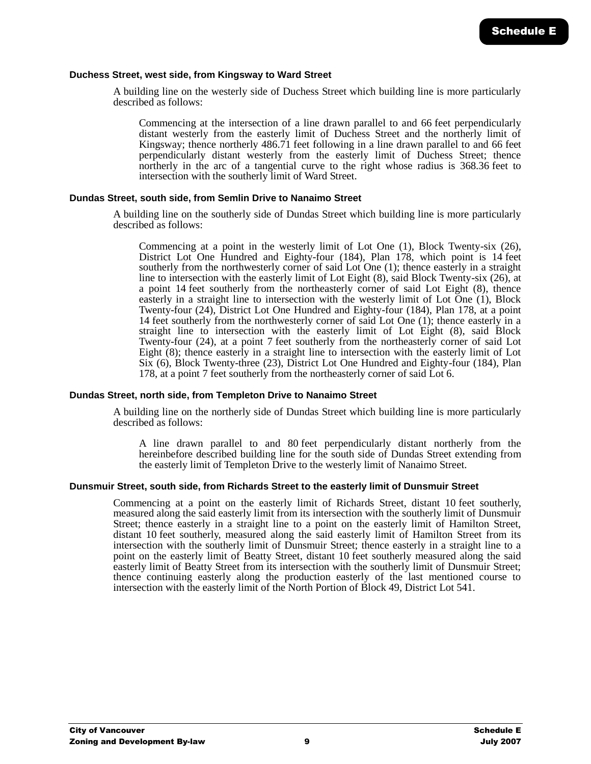#### **Duchess Street, west side, from Kingsway to Ward Street**

A building line on the westerly side of Duchess Street which building line is more particularly described as follows:

Commencing at the intersection of a line drawn parallel to and 66 feet perpendicularly distant westerly from the easterly limit of Duchess Street and the northerly limit of Kingsway; thence northerly 486.71 feet following in a line drawn parallel to and 66 feet perpendicularly distant westerly from the easterly limit of Duchess Street; thence northerly in the arc of a tangential curve to the right whose radius is 368.36 feet to intersection with the southerly limit of Ward Street.

#### **Dundas Street, south side, from Semlin Drive to Nanaimo Street**

A building line on the southerly side of Dundas Street which building line is more particularly described as follows:

Commencing at a point in the westerly limit of Lot One  $(1)$ , Block Twenty-six  $(26)$ , District Lot One Hundred and Eighty-four (184), Plan 178, which point is 14 feet southerly from the northwesterly corner of said Lot One (1); thence easterly in a straight line to intersection with the easterly limit of Lot Eight (8), said Block Twenty-six (26), at a point 14 feet southerly from the northeasterly corner of said Lot Eight (8), thence easterly in a straight line to intersection with the westerly limit of Lot  $\overline{O}$ ne (1), Block Twenty-four (24), District Lot One Hundred and Eighty-four (184), Plan 178, at a point 14 feet southerly from the northwesterly corner of said Lot One  $(1)$ ; thence easterly in a straight line to intersection with the easterly limit of Lot Eight (8), said Block Twenty-four (24), at a point 7 feet southerly from the northeasterly corner of said Lot Eight (8); thence easterly in a straight line to intersection with the easterly limit of Lot Six (6), Block Twenty-three (23), District Lot One Hundred and Eighty-four (184), Plan 178, at a point 7 feet southerly from the northeasterly corner of said Lot 6.

#### **Dundas Street, north side, from Templeton Drive to Nanaimo Street**

A building line on the northerly side of Dundas Street which building line is more particularly described as follows:

A line drawn parallel to and 80 feet perpendicularly distant northerly from the hereinbefore described building line for the south side of Dundas Street extending from the easterly limit of Templeton Drive to the westerly limit of Nanaimo Street.

#### **Dunsmuir Street, south side, from Richards Street to the easterly limit of Dunsmuir Street**

Commencing at a point on the easterly limit of Richards Street, distant 10 feet southerly, measured along the said easterly limit from its intersection with the southerly limit of Dunsmuir Street; thence easterly in a straight line to a point on the easterly limit of Hamilton Street, distant 10 feet southerly, measured along the said easterly limit of Hamilton Street from its intersection with the southerly limit of Dunsmuir Street; thence easterly in a straight line to a point on the easterly limit of Beatty Street, distant 10 feet southerly measured along the said easterly limit of Beatty Street from its intersection with the southerly limit of Dunsmuir Street; thence continuing easterly along the production easterly of the last mentioned course to intersection with the easterly limit of the North Portion of Block 49, District Lot 541.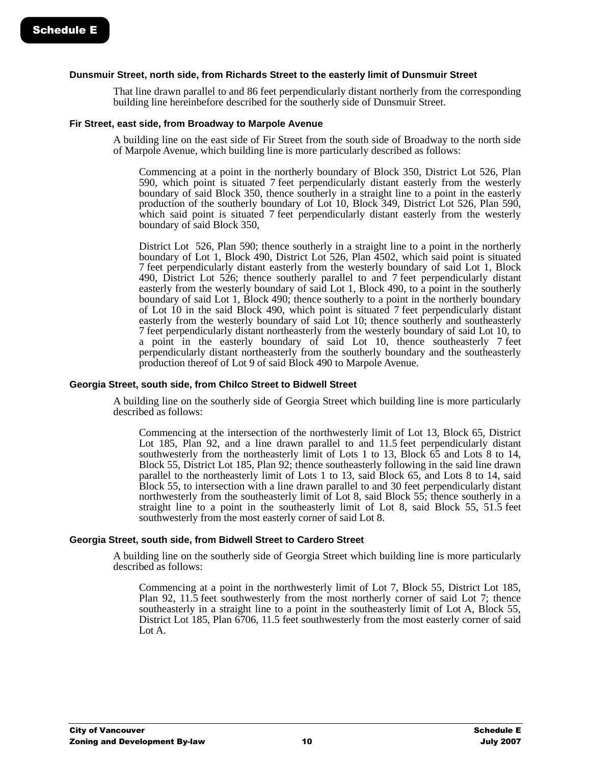#### **Dunsmuir Street, north side, from Richards Street to the easterly limit of Dunsmuir Street**

That line drawn parallel to and 86 feet perpendicularly distant northerly from the corresponding building line hereinbefore described for the southerly side of Dunsmuir Street.

#### **Fir Street, east side, from Broadway to Marpole Avenue**

A building line on the east side of Fir Street from the south side of Broadway to the north side of Marpole Avenue, which building line is more particularly described as follows:

Commencing at a point in the northerly boundary of Block 350, District Lot 526, Plan 590, which point is situated 7 feet perpendicularly distant easterly from the westerly boundary of said Block 350, thence southerly in a straight line to a point in the easterly production of the southerly boundary of Lot 10, Block 349, District Lot 526, Plan 590, which said point is situated 7 feet perpendicularly distant easterly from the westerly boundary of said Block 350,

District Lot 526, Plan 590; thence southerly in a straight line to a point in the northerly boundary of Lot 1, Block 490, District Lot 526, Plan 4502, which said point is situated 7 feet perpendicularly distant easterly from the westerly boundary of said Lot 1, Block 490, District Lot 526; thence southerly parallel to and 7 feet perpendicularly distant easterly from the westerly boundary of said Lot 1, Block 490, to a point in the southerly boundary of said Lot 1, Block 490; thence southerly to a point in the northerly boundary of Lot 10 in the said Block 490, which point is situated 7 feet perpendicularly distant easterly from the westerly boundary of said Lot 10; thence southerly and southeasterly 7 feet perpendicularly distant northeasterly from the westerly boundary of said Lot 10, to a point in the easterly boundary of said Lot 10, thence southeasterly 7 feet perpendicularly distant northeasterly from the southerly boundary and the southeasterly production thereof of Lot 9 of said Block 490 to Marpole Avenue.

#### **Georgia Street, south side, from Chilco Street to Bidwell Street**

A building line on the southerly side of Georgia Street which building line is more particularly described as follows:

Commencing at the intersection of the northwesterly limit of Lot 13, Block 65, District Lot 185, Plan 92, and a line drawn parallel to and 11.5 feet perpendicularly distant southwesterly from the northeasterly limit of Lots 1 to 13, Block 65 and Lots 8 to 14, Block 55, District Lot 185, Plan 92; thence southeasterly following in the said line drawn parallel to the northeasterly limit of Lots 1 to 13, said Block 65, and Lots 8 to 14, said Block 55, to intersection with a line drawn parallel to and 30 feet perpendicularly distant northwesterly from the southeasterly limit of Lot 8, said Block 55; thence southerly in a straight line to a point in the southeasterly limit of Lot 8, said Block 55, 51.5 feet southwesterly from the most easterly corner of said Lot 8.

#### **Georgia Street, south side, from Bidwell Street to Cardero Street**

A building line on the southerly side of Georgia Street which building line is more particularly described as follows:

Commencing at a point in the northwesterly limit of Lot 7, Block 55, District Lot 185, Plan 92, 11.5 feet southwesterly from the most northerly corner of said Lot 7; thence southeasterly in a straight line to a point in the southeasterly limit of Lot A, Block 55, District Lot 185, Plan 6706, 11.5 feet southwesterly from the most easterly corner of said Lot A.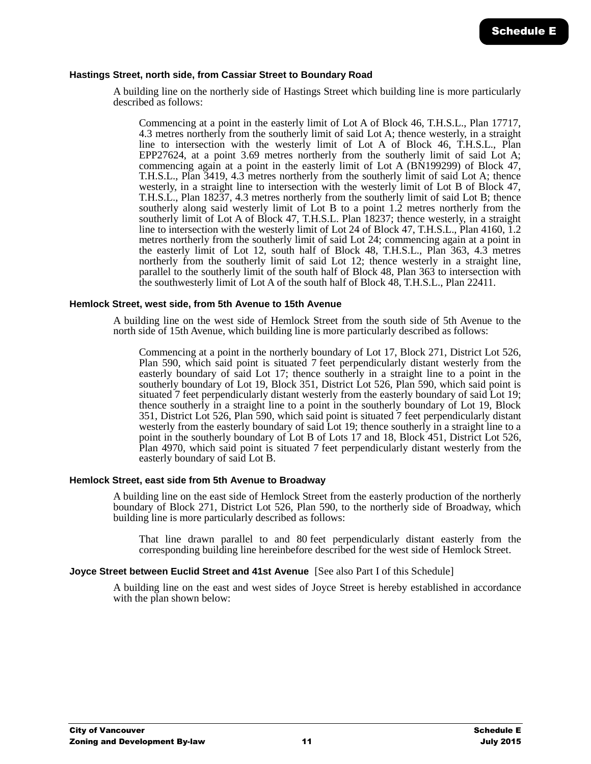#### **Hastings Street, north side, from Cassiar Street to Boundary Road**

A building line on the northerly side of Hastings Street which building line is more particularly described as follows:

Commencing at a point in the easterly limit of Lot A of Block 46, T.H.S.L., Plan 17717, 4.3 metres northerly from the southerly limit of said Lot A; thence westerly, in a straight line to intersection with the westerly limit of Lot A of Block 46, T.H.S.L., Plan EPP27624, at a point 3.69 metres northerly from the southerly limit of said Lot A; commencing again at a point in the easterly limit of Lot A (BN199299) of Block 47, T.H.S.L., Plan 3419, 4.3 metres northerly from the southerly limit of said Lot A; thence westerly, in a straight line to intersection with the westerly limit of Lot B of Block 47, T.H.S.L., Plan 18237, 4.3 metres northerly from the southerly limit of said Lot B; thence southerly along said westerly limit of Lot B to a point 1.2 metres northerly from the southerly limit of Lot A of Block 47, T.H.S.L. Plan 18237; thence westerly, in a straight line to intersection with the westerly limit of Lot 24 of Block 47, T.H.S.L., Plan 4160, 1.2 metres northerly from the southerly limit of said Lot 24; commencing again at a point in the easterly limit of Lot 12, south half of Block 48, T.H.S.L., Plan 363, 4.3 metres northerly from the southerly limit of said Lot 12; thence westerly in a straight line, parallel to the southerly limit of the south half of Block 48, Plan 363 to intersection with the southwesterly limit of Lot A of the south half of Block 48, T.H.S.L., Plan 22411.

#### **Hemlock Street, west side, from 5th Avenue to 15th Avenue**

A building line on the west side of Hemlock Street from the south side of 5th Avenue to the north side of 15th Avenue, which building line is more particularly described as follows:

Commencing at a point in the northerly boundary of Lot 17, Block 271, District Lot 526, Plan 590, which said point is situated 7 feet perpendicularly distant westerly from the easterly boundary of said Lot 17; thence southerly in a straight line to a point in the southerly boundary of Lot 19, Block 351, District Lot 526, Plan 590, which said point is situated 7 feet perpendicularly distant westerly from the easterly boundary of said Lot 19; thence southerly in a straight line to a point in the southerly boundary of Lot 19, Block 351, District Lot 526, Plan 590, which said point is situated 7 feet perpendicularly distant westerly from the easterly boundary of said Lot 19; thence southerly in a straight line to a point in the southerly boundary of Lot B of Lots 17 and 18, Block 451, District Lot 526, Plan 4970, which said point is situated 7 feet perpendicularly distant westerly from the easterly boundary of said Lot B.

#### **Hemlock Street, east side from 5th Avenue to Broadway**

A building line on the east side of Hemlock Street from the easterly production of the northerly boundary of Block 271, District Lot 526, Plan 590, to the northerly side of Broadway, which building line is more particularly described as follows:

That line drawn parallel to and 80 feet perpendicularly distant easterly from the corresponding building line hereinbefore described for the west side of Hemlock Street.

#### **Joyce Street between Euclid Street and 41st Avenue** [See also Part I of this Schedule]

A building line on the east and west sides of Joyce Street is hereby established in accordance with the plan shown below: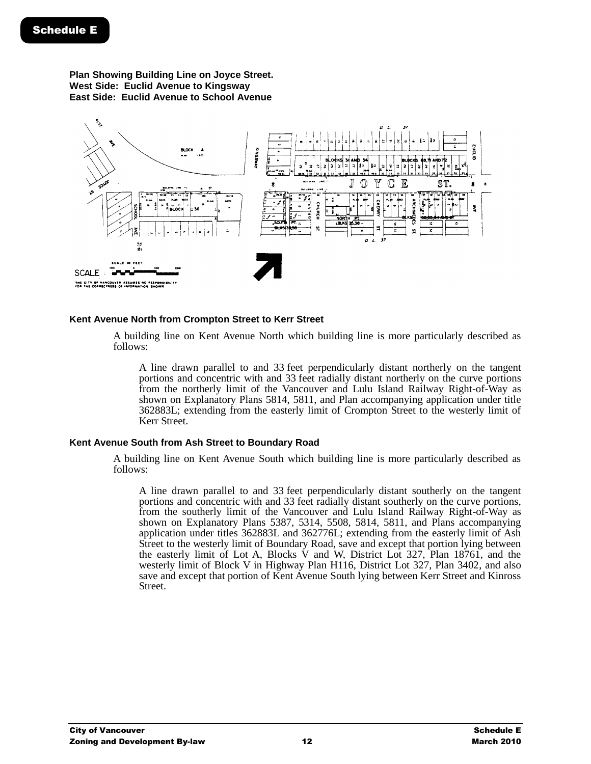**Plan Showing Building Line on Joyce Street. West Side: Euclid Avenue to Kingsway East Side: Euclid Avenue to School Avenue**



#### **Kent Avenue North from Crompton Street to Kerr Street**

A building line on Kent Avenue North which building line is more particularly described as follows:

A line drawn parallel to and 33 feet perpendicularly distant northerly on the tangent portions and concentric with and 33 feet radially distant northerly on the curve portions from the northerly limit of the Vancouver and Lulu Island Railway Right-of-Way as shown on Explanatory Plans 5814, 5811, and Plan accompanying application under title 362883L; extending from the easterly limit of Crompton Street to the westerly limit of Kerr Street.

#### **Kent Avenue South from Ash Street to Boundary Road**

A building line on Kent Avenue South which building line is more particularly described as follows:

A line drawn parallel to and 33 feet perpendicularly distant southerly on the tangent portions and concentric with and 33 feet radially distant southerly on the curve portions, from the southerly limit of the Vancouver and Lulu Island Railway Right-of-Way as shown on Explanatory Plans 5387, 5314, 5508, 5814, 5811, and Plans accompanying application under titles 362883L and 362776L; extending from the easterly limit of Ash Street to the westerly limit of Boundary Road, save and except that portion lying between the easterly limit of Lot A, Blocks V and W, District Lot 327, Plan 18761, and the westerly limit of Block V in Highway Plan H116, District Lot 327, Plan 3402, and also save and except that portion of Kent Avenue South lying between Kerr Street and Kinross Street.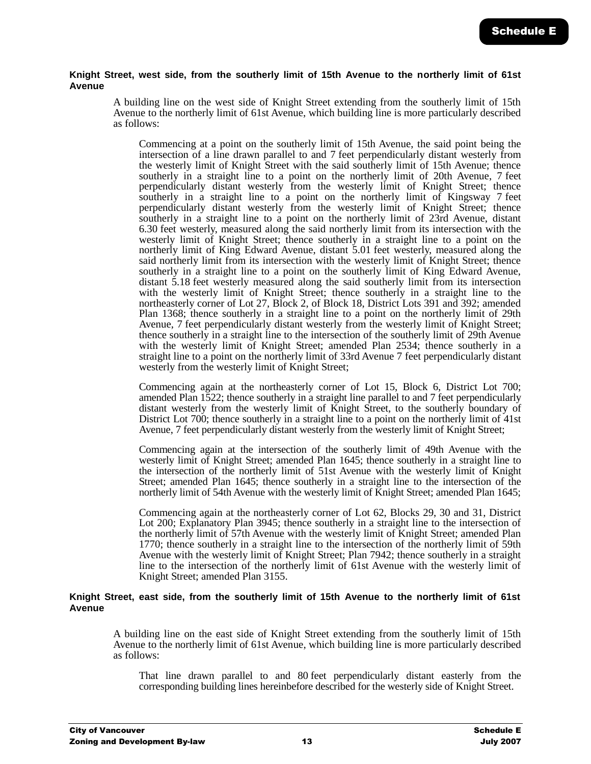#### **Knight Street, west side, from the southerly limit of 15th Avenue to the northerly limit of 61st Avenue**

A building line on the west side of Knight Street extending from the southerly limit of 15th Avenue to the northerly limit of 61st Avenue, which building line is more particularly described as follows:

Commencing at a point on the southerly limit of 15th Avenue, the said point being the intersection of a line drawn parallel to and 7 feet perpendicularly distant westerly from the westerly limit of Knight Street with the said southerly limit of 15th Avenue; thence southerly in a straight line to a point on the northerly limit of 20th Avenue, 7 feet perpendicularly distant westerly from the westerly limit of Knight Street; thence southerly in a straight line to a point on the northerly limit of Kingsway 7 feet perpendicularly distant westerly from the westerly limit of Knight Street; thence southerly in a straight line to a point on the northerly limit of 23rd Avenue, distant 6.30 feet westerly, measured along the said northerly limit from its intersection with the westerly limit of Knight Street; thence southerly in a straight line to a point on the northerly limit of King Edward Avenue, distant 5.01 feet westerly, measured along the said northerly limit from its intersection with the westerly limit of Knight Street; thence southerly in a straight line to a point on the southerly limit of King Edward Avenue, distant 5.18 feet westerly measured along the said southerly limit from its intersection with the westerly limit of Knight Street; thence southerly in a straight line to the northeasterly corner of Lot 27, Block 2, of Block 18, District Lots 391 and 392; amended Plan 1368; thence southerly in a straight line to a point on the northerly limit of 29th Avenue, 7 feet perpendicularly distant westerly from the westerly limit of Knight Street; thence southerly in a straight line to the intersection of the southerly limit of 29th Avenue with the westerly limit of Knight Street; amended Plan 2534; thence southerly in a straight line to a point on the northerly limit of 33rd Avenue 7 feet perpendicularly distant westerly from the westerly limit of Knight Street;

Commencing again at the northeasterly corner of Lot 15, Block 6, District Lot 700; amended Plan 1522; thence southerly in a straight line parallel to and 7 feet perpendicularly distant westerly from the westerly limit of Knight Street, to the southerly boundary of District Lot 700; thence southerly in a straight line to a point on the northerly limit of 41st Avenue, 7 feet perpendicularly distant westerly from the westerly limit of Knight Street;

Commencing again at the intersection of the southerly limit of 49th Avenue with the westerly limit of Knight Street; amended Plan 1645; thence southerly in a straight line to the intersection of the northerly limit of 51st Avenue with the westerly limit of Knight Street; amended Plan 1645; thence southerly in a straight line to the intersection of the northerly limit of 54th Avenue with the westerly limit of Knight Street; amended Plan 1645;

Commencing again at the northeasterly corner of Lot 62, Blocks 29, 30 and 31, District Lot 200; Explanatory Plan 3945; thence southerly in a straight line to the intersection of the northerly limit of 57th Avenue with the westerly limit of Knight Street; amended Plan 1770; thence southerly in a straight line to the intersection of the northerly limit of 59th Avenue with the westerly limit of Knight Street; Plan 7942; thence southerly in a straight line to the intersection of the northerly limit of 61st Avenue with the westerly limit of Knight Street; amended Plan 3155.

#### **Knight Street, east side, from the southerly limit of 15th Avenue to the northerly limit of 61st Avenue**

A building line on the east side of Knight Street extending from the southerly limit of 15th Avenue to the northerly limit of 61st Avenue, which building line is more particularly described as follows:

That line drawn parallel to and 80 feet perpendicularly distant easterly from the corresponding building lines hereinbefore described for the westerly side of Knight Street.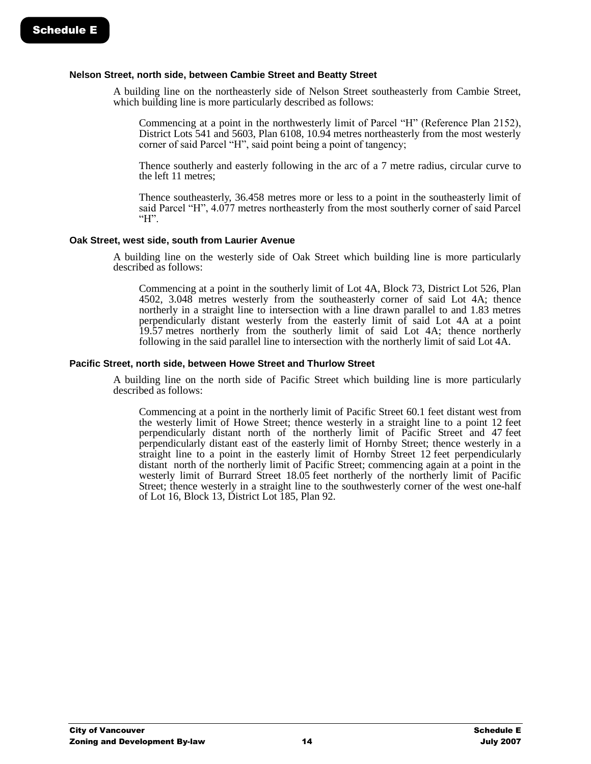#### **Nelson Street, north side, between Cambie Street and Beatty Street**

A building line on the northeasterly side of Nelson Street southeasterly from Cambie Street, which building line is more particularly described as follows:

Commencing at a point in the northwesterly limit of Parcel "H" (Reference Plan 2152), District Lots 541 and 5603, Plan 6108, 10.94 metres northeasterly from the most westerly corner of said Parcel "H", said point being a point of tangency;

Thence southerly and easterly following in the arc of a 7 metre radius, circular curve to the left 11 metres;

Thence southeasterly, 36.458 metres more or less to a point in the southeasterly limit of said Parcel "H", 4.077 metres northeasterly from the most southerly corner of said Parcel "H".

#### **Oak Street, west side, south from Laurier Avenue**

A building line on the westerly side of Oak Street which building line is more particularly described as follows:

Commencing at a point in the southerly limit of Lot 4A, Block 73, District Lot 526, Plan 4502, 3.048 metres westerly from the southeasterly corner of said Lot 4A; thence northerly in a straight line to intersection with a line drawn parallel to and 1.83 metres perpendicularly distant westerly from the easterly limit of said Lot 4A at a point 19.57 metres northerly from the southerly limit of said Lot 4A; thence northerly following in the said parallel line to intersection with the northerly limit of said Lot 4A.

#### **Pacific Street, north side, between Howe Street and Thurlow Street**

A building line on the north side of Pacific Street which building line is more particularly described as follows:

Commencing at a point in the northerly limit of Pacific Street 60.1 feet distant west from the westerly limit of Howe Street; thence westerly in a straight line to a point 12 feet perpendicularly distant north of the northerly limit of Pacific Street and 47 feet perpendicularly distant east of the easterly limit of Hornby Street; thence westerly in a straight line to a point in the easterly limit of Hornby Street 12 feet perpendicularly distant north of the northerly limit of Pacific Street; commencing again at a point in the westerly limit of Burrard Street 18.05 feet northerly of the northerly limit of Pacific Street; thence westerly in a straight line to the southwesterly corner of the west one-half of Lot 16, Block 13, District Lot 185, Plan 92.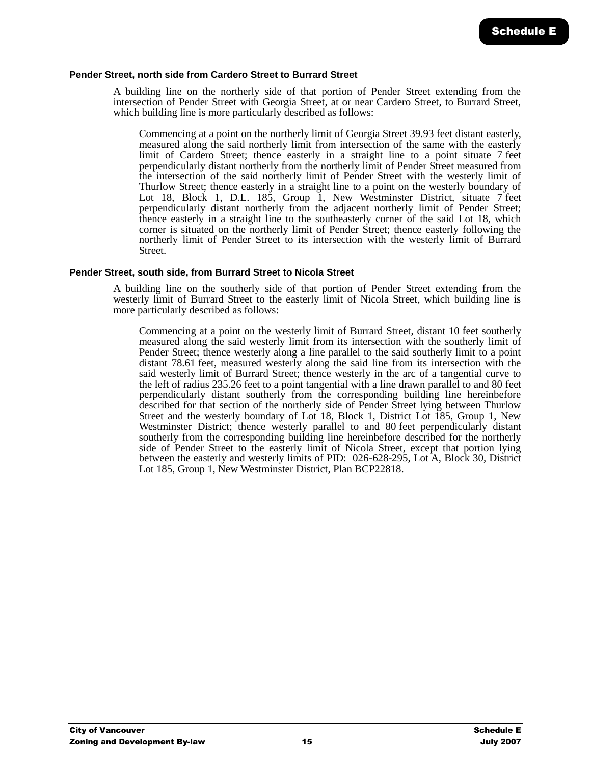#### **Pender Street, north side from Cardero Street to Burrard Street**

A building line on the northerly side of that portion of Pender Street extending from the intersection of Pender Street with Georgia Street, at or near Cardero Street, to Burrard Street, which building line is more particularly described as follows:

Commencing at a point on the northerly limit of Georgia Street 39.93 feet distant easterly, measured along the said northerly limit from intersection of the same with the easterly limit of Cardero Street; thence easterly in a straight line to a point situate 7 feet perpendicularly distant northerly from the northerly limit of Pender Street measured from the intersection of the said northerly limit of Pender Street with the westerly limit of Thurlow Street; thence easterly in a straight line to a point on the westerly boundary of Lot 18, Block 1, D.L. 185, Group 1, New Westminster District, situate 7 feet perpendicularly distant northerly from the adjacent northerly limit of Pender Street; thence easterly in a straight line to the southeasterly corner of the said Lot 18, which corner is situated on the northerly limit of Pender Street; thence easterly following the northerly limit of Pender Street to its intersection with the westerly limit of Burrard Street.

#### **Pender Street, south side, from Burrard Street to Nicola Street**

A building line on the southerly side of that portion of Pender Street extending from the westerly limit of Burrard Street to the easterly limit of Nicola Street, which building line is more particularly described as follows:

Commencing at a point on the westerly limit of Burrard Street, distant 10 feet southerly measured along the said westerly limit from its intersection with the southerly limit of Pender Street; thence westerly along a line parallel to the said southerly limit to a point distant 78.61 feet, measured westerly along the said line from its intersection with the said westerly limit of Burrard Street; thence westerly in the arc of a tangential curve to the left of radius 235.26 feet to a point tangential with a line drawn parallel to and 80 feet perpendicularly distant southerly from the corresponding building line hereinbefore described for that section of the northerly side of Pender Street lying between Thurlow Street and the westerly boundary of Lot 18, Block 1, District Lot 185, Group 1, New Westminster District; thence westerly parallel to and 80 feet perpendicularly distant southerly from the corresponding building line hereinbefore described for the northerly side of Pender Street to the easterly limit of Nicola Street, except that portion lying between the easterly and westerly limits of PID: 026-628-295, Lot A, Block 30, District Lot 185, Group 1, New Westminster District, Plan BCP22818.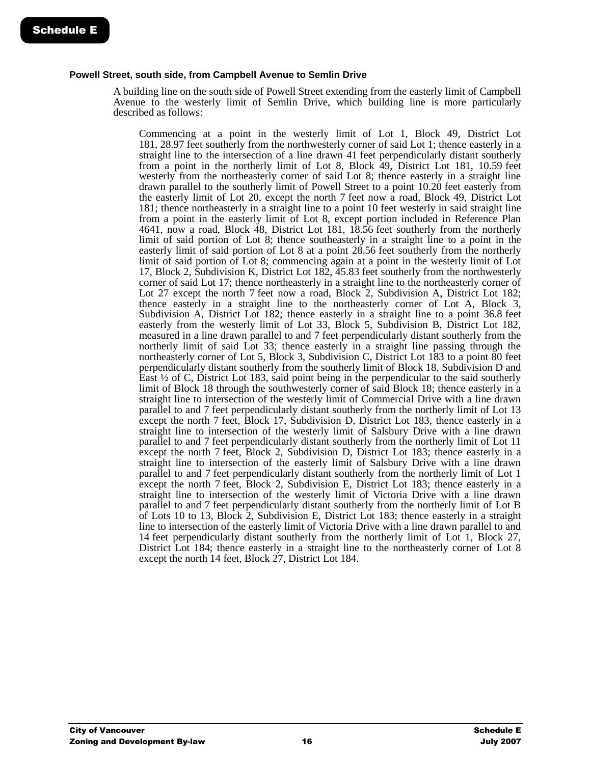#### **Powell Street, south side, from Campbell Avenue to Semlin Drive**

A building line on the south side of Powell Street extending from the easterly limit of Campbell Avenue to the westerly limit of Semlin Drive, which building line is more particularly described as follows:

Commencing at a point in the westerly limit of Lot 1, Block 49, District Lot 181, 28.97 feet southerly from the northwesterly corner of said Lot 1; thence easterly in a straight line to the intersection of a line drawn 41 feet perpendicularly distant southerly from a point in the northerly limit of Lot 8, Block 49, District Lot 181, 10.59 feet westerly from the northeasterly corner of said Lot 8; thence easterly in a straight line drawn parallel to the southerly limit of Powell Street to a point 10.20 feet easterly from the easterly limit of Lot 20, except the north 7 feet now a road, Block 49, District Lot 181; thence northeasterly in a straight line to a point 10 feet westerly in said straight line from a point in the easterly limit of Lot 8, except portion included in Reference Plan 4641, now a road, Block 48, District Lot 181, 18.56 feet southerly from the northerly limit of said portion of Lot 8; thence southeasterly in a straight line to a point in the easterly limit of said portion of Lot 8 at a point 28.56 feet southerly from the northerly limit of said portion of Lot 8; commencing again at a point in the westerly limit of Lot 17, Block 2, Subdivision K, District Lot 182, 45.83 feet southerly from the northwesterly corner of said Lot 17; thence northeasterly in a straight line to the northeasterly corner of Lot 27 except the north 7 feet now a road, Block 2, Subdivision A, District Lot 182; thence easterly in a straight line to the northeasterly corner of Lot A, Block 3, Subdivision A, District Lot 182; thence easterly in a straight line to a point 36.8 feet easterly from the westerly limit of Lot 33, Block 5, Subdivision B, District Lot 182, measured in a line drawn parallel to and 7 feet perpendicularly distant southerly from the northerly limit of said Lot 33; thence easterly in a straight line passing through the northeasterly corner of Lot 5, Block 3, Subdivision C, District Lot 183 to a point 80 feet perpendicularly distant southerly from the southerly limit of Block 18, Subdivision D and East  $\frac{1}{2}$  of C, District Lot 183, said point being in the perpendicular to the said southerly limit of Block 18 through the southwesterly corner of said Block 18; thence easterly in a straight line to intersection of the westerly limit of Commercial Drive with a line drawn parallel to and 7 feet perpendicularly distant southerly from the northerly limit of Lot 13 except the north 7 feet, Block 17, Subdivision D, District Lot 183, thence easterly in a straight line to intersection of the westerly limit of Salsbury Drive with a line drawn parallel to and 7 feet perpendicularly distant southerly from the northerly limit of Lot 11 except the north 7 feet, Block 2, Subdivision D, District Lot 183; thence easterly in a straight line to intersection of the easterly limit of Salsbury Drive with a line drawn parallel to and 7 feet perpendicularly distant southerly from the northerly limit of Lot 1 except the north 7 feet, Block 2, Subdivision E, District Lot 183; thence easterly in a straight line to intersection of the westerly limit of Victoria Drive with a line drawn parallel to and 7 feet perpendicularly distant southerly from the northerly limit of Lot B of Lots 10 to 13, Block 2, Subdivision E, District Lot 183; thence easterly in a straight line to intersection of the easterly limit of Victoria Drive with a line drawn parallel to and 14 feet perpendicularly distant southerly from the northerly limit of Lot 1, Block 27, District Lot 184; thence easterly in a straight line to the northeasterly corner of Lot 8 except the north 14 feet, Block 27, District Lot 184.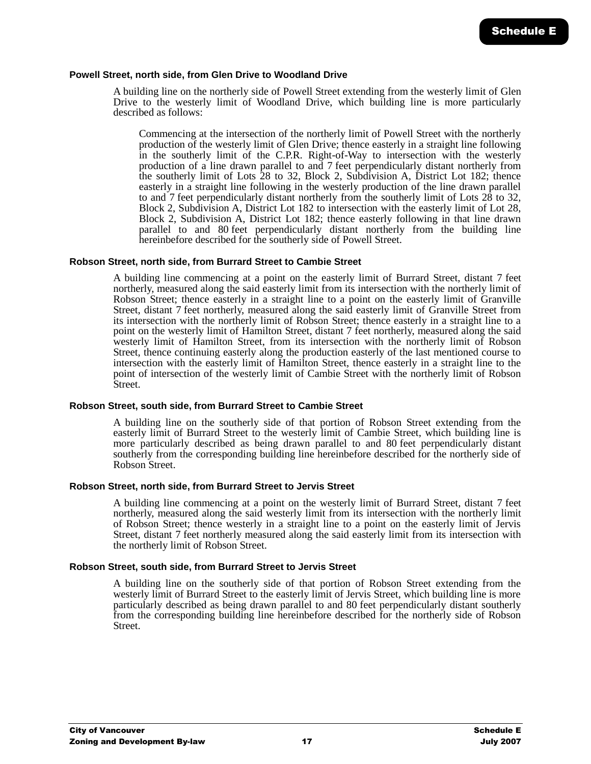#### **Powell Street, north side, from Glen Drive to Woodland Drive**

A building line on the northerly side of Powell Street extending from the westerly limit of Glen Drive to the westerly limit of Woodland Drive, which building line is more particularly described as follows:

Commencing at the intersection of the northerly limit of Powell Street with the northerly production of the westerly limit of Glen Drive; thence easterly in a straight line following in the southerly limit of the C.P.R. Right-of-Way to intersection with the westerly production of a line drawn parallel to and 7 feet perpendicularly distant northerly from the southerly limit of Lots 28 to 32, Block 2, Subdivision A, District Lot 182; thence easterly in a straight line following in the westerly production of the line drawn parallel to and 7 feet perpendicularly distant northerly from the southerly limit of Lots 28 to 32, Block 2, Subdivision A, District Lot 182 to intersection with the easterly limit of Lot 28, Block 2, Subdivision A, District Lot 182; thence easterly following in that line drawn parallel to and 80 feet perpendicularly distant northerly from the building line hereinbefore described for the southerly side of Powell Street.

#### **Robson Street, north side, from Burrard Street to Cambie Street**

A building line commencing at a point on the easterly limit of Burrard Street, distant 7 feet northerly, measured along the said easterly limit from its intersection with the northerly limit of Robson Street; thence easterly in a straight line to a point on the easterly limit of Granville Street, distant 7 feet northerly, measured along the said easterly limit of Granville Street from its intersection with the northerly limit of Robson Street; thence easterly in a straight line to a point on the westerly limit of Hamilton Street, distant 7 feet northerly, measured along the said westerly limit of Hamilton Street, from its intersection with the northerly limit of Robson Street, thence continuing easterly along the production easterly of the last mentioned course to intersection with the easterly limit of Hamilton Street, thence easterly in a straight line to the point of intersection of the westerly limit of Cambie Street with the northerly limit of Robson Street.

#### **Robson Street, south side, from Burrard Street to Cambie Street**

A building line on the southerly side of that portion of Robson Street extending from the easterly limit of Burrard Street to the westerly limit of Cambie Street, which building line is more particularly described as being drawn parallel to and 80 feet perpendicularly distant southerly from the corresponding building line hereinbefore described for the northerly side of Robson Street.

#### **Robson Street, north side, from Burrard Street to Jervis Street**

A building line commencing at a point on the westerly limit of Burrard Street, distant 7 feet northerly, measured along the said westerly limit from its intersection with the northerly limit of Robson Street; thence westerly in a straight line to a point on the easterly limit of Jervis Street, distant 7 feet northerly measured along the said easterly limit from its intersection with the northerly limit of Robson Street.

#### **Robson Street, south side, from Burrard Street to Jervis Street**

A building line on the southerly side of that portion of Robson Street extending from the westerly limit of Burrard Street to the easterly limit of Jervis Street, which building line is more particularly described as being drawn parallel to and 80 feet perpendicularly distant southerly from the corresponding building line hereinbefore described for the northerly side of Robson Street.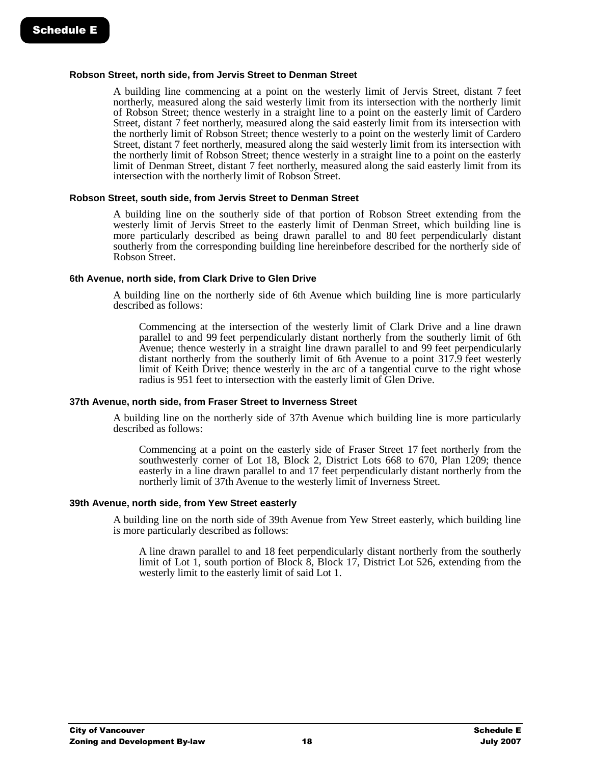#### **Robson Street, north side, from Jervis Street to Denman Street**

A building line commencing at a point on the westerly limit of Jervis Street, distant 7 feet northerly, measured along the said westerly limit from its intersection with the northerly limit of Robson Street; thence westerly in a straight line to a point on the easterly limit of Cardero Street, distant 7 feet northerly, measured along the said easterly limit from its intersection with the northerly limit of Robson Street; thence westerly to a point on the westerly limit of Cardero Street, distant 7 feet northerly, measured along the said westerly limit from its intersection with the northerly limit of Robson Street; thence westerly in a straight line to a point on the easterly limit of Denman Street, distant 7 feet northerly, measured along the said easterly limit from its intersection with the northerly limit of Robson Street.

#### **Robson Street, south side, from Jervis Street to Denman Street**

A building line on the southerly side of that portion of Robson Street extending from the westerly limit of Jervis Street to the easterly limit of Denman Street, which building line is more particularly described as being drawn parallel to and 80 feet perpendicularly distant southerly from the corresponding building line hereinbefore described for the northerly side of Robson Street.

#### **6th Avenue, north side, from Clark Drive to Glen Drive**

A building line on the northerly side of 6th Avenue which building line is more particularly described as follows:

Commencing at the intersection of the westerly limit of Clark Drive and a line drawn parallel to and 99 feet perpendicularly distant northerly from the southerly limit of 6th Avenue; thence westerly in a straight line drawn parallel to and 99 feet perpendicularly distant northerly from the southerly limit of 6th Avenue to a point 317.9 feet westerly limit of Keith Drive; thence westerly in the arc of a tangential curve to the right whose radius is 951 feet to intersection with the easterly limit of Glen Drive.

#### **37th Avenue, north side, from Fraser Street to Inverness Street**

A building line on the northerly side of 37th Avenue which building line is more particularly described as follows:

Commencing at a point on the easterly side of Fraser Street 17 feet northerly from the southwesterly corner of Lot 18, Block 2, District Lots 668 to 670, Plan 1209; thence easterly in a line drawn parallel to and 17 feet perpendicularly distant northerly from the northerly limit of 37th Avenue to the westerly limit of Inverness Street.

#### **39th Avenue, north side, from Yew Street easterly**

A building line on the north side of 39th Avenue from Yew Street easterly, which building line is more particularly described as follows:

A line drawn parallel to and 18 feet perpendicularly distant northerly from the southerly limit of Lot 1, south portion of Block 8, Block 17, District Lot 526, extending from the westerly limit to the easterly limit of said Lot 1.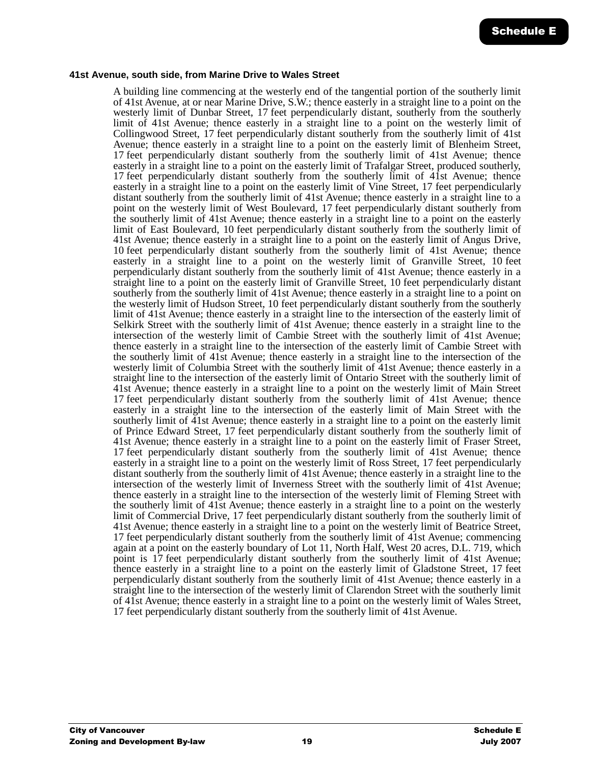#### **41st Avenue, south side, from Marine Drive to Wales Street**

A building line commencing at the westerly end of the tangential portion of the southerly limit of 41st Avenue, at or near Marine Drive, S.W.; thence easterly in a straight line to a point on the westerly limit of Dunbar Street, 17 feet perpendicularly distant, southerly from the southerly limit of 41st Avenue; thence easterly in a straight line to a point on the westerly limit of Collingwood Street, 17 feet perpendicularly distant southerly from the southerly limit of 41st Avenue; thence easterly in a straight line to a point on the easterly limit of Blenheim Street, 17 feet perpendicularly distant southerly from the southerly limit of 41st Avenue; thence easterly in a straight line to a point on the easterly limit of Trafalgar Street, produced southerly, 17 feet perpendicularly distant southerly from the southerly limit of 41st Avenue; thence easterly in a straight line to a point on the easterly limit of Vine Street, 17 feet perpendicularly distant southerly from the southerly limit of 41st Avenue; thence easterly in a straight line to a point on the westerly limit of West Boulevard, 17 feet perpendicularly distant southerly from the southerly limit of 41st Avenue; thence easterly in a straight line to a point on the easterly limit of East Boulevard, 10 feet perpendicularly distant southerly from the southerly limit of 41st Avenue; thence easterly in a straight line to a point on the easterly limit of Angus Drive, 10 feet perpendicularly distant southerly from the southerly limit of 41st Avenue; thence easterly in a straight line to a point on the westerly limit of Granville Street, 10 feet perpendicularly distant southerly from the southerly limit of 41st Avenue; thence easterly in a straight line to a point on the easterly limit of Granville Street, 10 feet perpendicularly distant southerly from the southerly limit of 41st Avenue; thence easterly in a straight line to a point on the westerly limit of Hudson Street, 10 feet perpendicularly distant southerly from the southerly limit of 41st Avenue; thence easterly in a straight line to the intersection of the easterly limit of Selkirk Street with the southerly limit of 41st Avenue; thence easterly in a straight line to the intersection of the westerly limit of Cambie Street with the southerly limit of 41st Avenue; thence easterly in a straight line to the intersection of the easterly limit of Cambie Street with the southerly limit of 41st Avenue; thence easterly in a straight line to the intersection of the westerly limit of Columbia Street with the southerly limit of 41st Avenue; thence easterly in a straight line to the intersection of the easterly limit of Ontario Street with the southerly limit of 41st Avenue; thence easterly in a straight line to a point on the westerly limit of Main Street 17 feet perpendicularly distant southerly from the southerly limit of 41st Avenue; thence easterly in a straight line to the intersection of the easterly limit of Main Street with the southerly limit of 41st Avenue; thence easterly in a straight line to a point on the easterly limit of Prince Edward Street, 17 feet perpendicularly distant southerly from the southerly limit of 41st Avenue; thence easterly in a straight line to a point on the easterly limit of Fraser Street, 17 feet perpendicularly distant southerly from the southerly limit of 41st Avenue; thence easterly in a straight line to a point on the westerly limit of Ross Street, 17 feet perpendicularly distant southerly from the southerly limit of 41st Avenue; thence easterly in a straight line to the intersection of the westerly limit of Inverness Street with the southerly limit of 41st Avenue; thence easterly in a straight line to the intersection of the westerly limit of Fleming Street with the southerly limit of 41st Avenue; thence easterly in a straight line to a point on the westerly limit of Commercial Drive, 17 feet perpendicularly distant southerly from the southerly limit of 41st Avenue; thence easterly in a straight line to a point on the westerly limit of Beatrice Street, 17 feet perpendicularly distant southerly from the southerly limit of 41st Avenue; commencing again at a point on the easterly boundary of Lot 11, North Half, West 20 acres, D.L. 719, which point is 17 feet perpendicularly distant southerly from the southerly limit of 41st Avenue; thence easterly in a straight line to a point on the easterly limit of Gladstone Street, 17 feet perpendicularly distant southerly from the southerly limit of 41st Avenue; thence easterly in a straight line to the intersection of the westerly limit of Clarendon Street with the southerly limit of 41st Avenue; thence easterly in a straight line to a point on the westerly limit of Wales Street, 17 feet perpendicularly distant southerly from the southerly limit of 41st Avenue.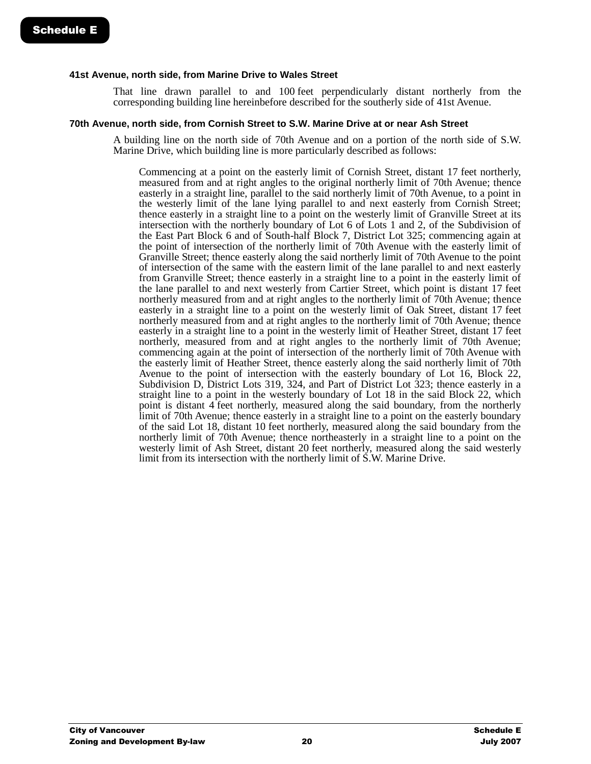#### **41st Avenue, north side, from Marine Drive to Wales Street**

That line drawn parallel to and 100 feet perpendicularly distant northerly from the corresponding building line hereinbefore described for the southerly side of 41st Avenue.

#### **70th Avenue, north side, from Cornish Street to S.W. Marine Drive at or near Ash Street**

A building line on the north side of 70th Avenue and on a portion of the north side of S.W. Marine Drive, which building line is more particularly described as follows:

Commencing at a point on the easterly limit of Cornish Street, distant 17 feet northerly, measured from and at right angles to the original northerly limit of 70th Avenue; thence easterly in a straight line, parallel to the said northerly limit of 70th Avenue, to a point in the westerly limit of the lane lying parallel to and next easterly from Cornish Street; thence easterly in a straight line to a point on the westerly limit of Granville Street at its intersection with the northerly boundary of Lot 6 of Lots 1 and 2, of the Subdivision of the East Part Block 6 and of South-half Block 7, District Lot 325; commencing again at the point of intersection of the northerly limit of 70th Avenue with the easterly limit of Granville Street; thence easterly along the said northerly limit of 70th Avenue to the point of intersection of the same with the eastern limit of the lane parallel to and next easterly from Granville Street; thence easterly in a straight line to a point in the easterly limit of the lane parallel to and next westerly from Cartier Street, which point is distant 17 feet northerly measured from and at right angles to the northerly limit of 70th Avenue; thence easterly in a straight line to a point on the westerly limit of Oak Street, distant 17 feet northerly measured from and at right angles to the northerly limit of 70th Avenue; thence easterly in a straight line to a point in the westerly limit of Heather Street, distant 17 feet northerly, measured from and at right angles to the northerly limit of 70th Avenue; commencing again at the point of intersection of the northerly limit of 70th Avenue with the easterly limit of Heather Street, thence easterly along the said northerly limit of 70th Avenue to the point of intersection with the easterly boundary of Lot 16, Block 22, Subdivision D, District Lots 319, 324, and Part of District Lot 323; thence easterly in a straight line to a point in the westerly boundary of Lot 18 in the said Block 22, which point is distant 4 feet northerly, measured along the said boundary, from the northerly limit of 70th Avenue; thence easterly in a straight line to a point on the easterly boundary of the said Lot 18, distant 10 feet northerly, measured along the said boundary from the northerly limit of 70th Avenue; thence northeasterly in a straight line to a point on the westerly limit of Ash Street, distant 20 feet northerly, measured along the said westerly limit from its intersection with the northerly limit of S.W. Marine Drive.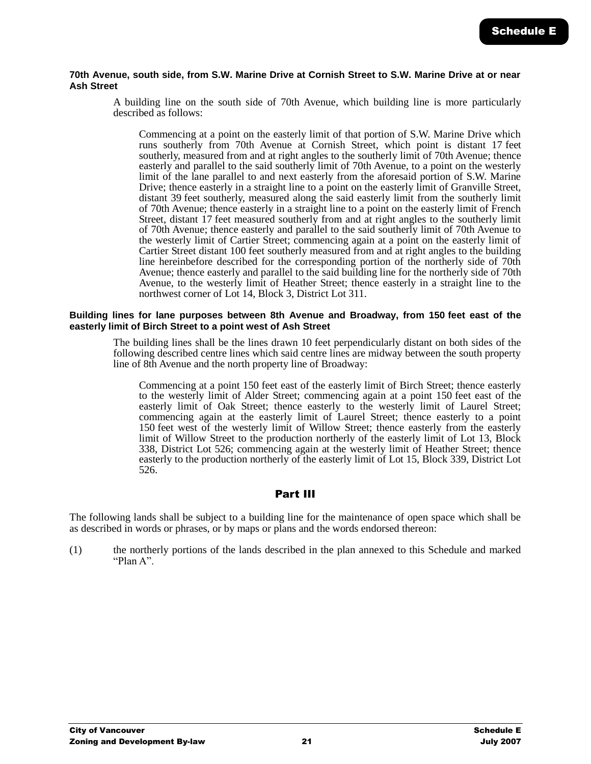#### **70th Avenue, south side, from S.W. Marine Drive at Cornish Street to S.W. Marine Drive at or near Ash Street**

A building line on the south side of 70th Avenue, which building line is more particularly described as follows:

Commencing at a point on the easterly limit of that portion of S.W. Marine Drive which runs southerly from 70th Avenue at Cornish Street, which point is distant 17 feet southerly, measured from and at right angles to the southerly limit of 70th Avenue; thence easterly and parallel to the said southerly limit of 70th Avenue, to a point on the westerly limit of the lane parallel to and next easterly from the aforesaid portion of S.W. Marine Drive; thence easterly in a straight line to a point on the easterly limit of Granville Street, distant 39 feet southerly, measured along the said easterly limit from the southerly limit of 70th Avenue; thence easterly in a straight line to a point on the easterly limit of French Street, distant 17 feet measured southerly from and at right angles to the southerly limit of 70th Avenue; thence easterly and parallel to the said southerly limit of 70th Avenue to the westerly limit of Cartier Street; commencing again at a point on the easterly limit of Cartier Street distant 100 feet southerly measured from and at right angles to the building line hereinbefore described for the corresponding portion of the northerly side of 70th Avenue; thence easterly and parallel to the said building line for the northerly side of 70th Avenue, to the westerly limit of Heather Street; thence easterly in a straight line to the northwest corner of Lot 14, Block 3, District Lot 311.

#### **Building lines for lane purposes between 8th Avenue and Broadway, from 150 feet east of the easterly limit of Birch Street to a point west of Ash Street**

The building lines shall be the lines drawn 10 feet perpendicularly distant on both sides of the following described centre lines which said centre lines are midway between the south property line of 8th Avenue and the north property line of Broadway:

Commencing at a point 150 feet east of the easterly limit of Birch Street; thence easterly to the westerly limit of Alder Street; commencing again at a point 150 feet east of the easterly limit of Oak Street; thence easterly to the westerly limit of Laurel Street; commencing again at the easterly limit of Laurel Street; thence easterly to a point 150 feet west of the westerly limit of Willow Street; thence easterly from the easterly limit of Willow Street to the production northerly of the easterly limit of Lot 13, Block 338, District Lot 526; commencing again at the westerly limit of Heather Street; thence easterly to the production northerly of the easterly limit of Lot 15, Block 339, District Lot 526.

# Part III

The following lands shall be subject to a building line for the maintenance of open space which shall be as described in words or phrases, or by maps or plans and the words endorsed thereon:

(1) the northerly portions of the lands described in the plan annexed to this Schedule and marked "Plan A".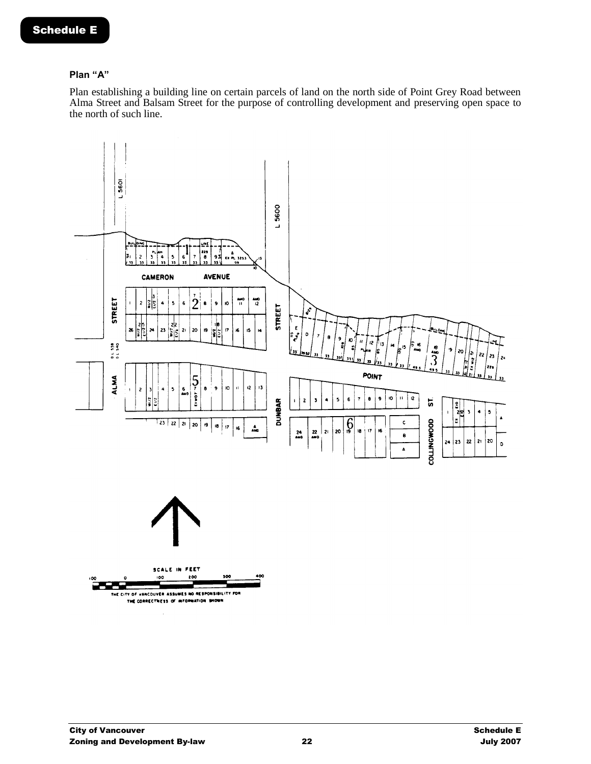## **Plan "A"**

Plan establishing a building line on certain parcels of land on the north side of Point Grey Road between Alma Street and Balsam Street for the purpose of controlling development and preserving open space to the north of such line.

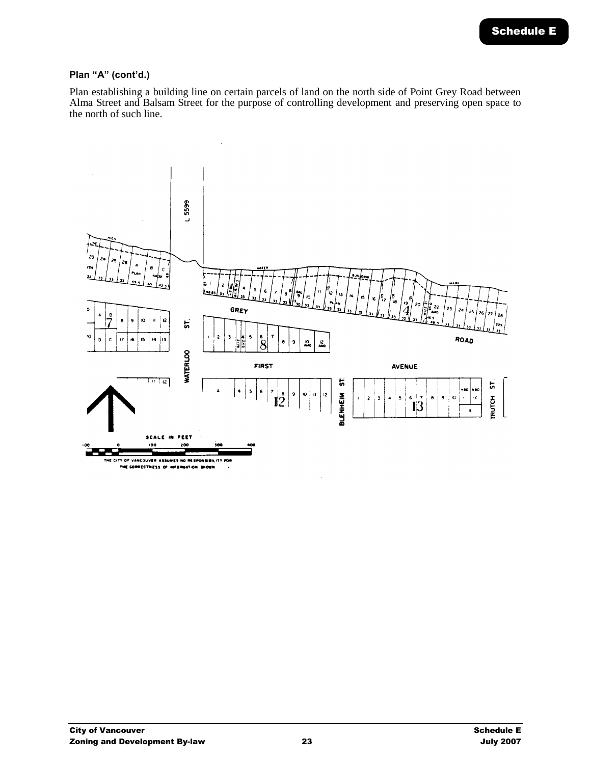Plan establishing a building line on certain parcels of land on the north side of Point Grey Road between Alma Street and Balsam Street for the purpose of controlling development and preserving open space to the north of such line.

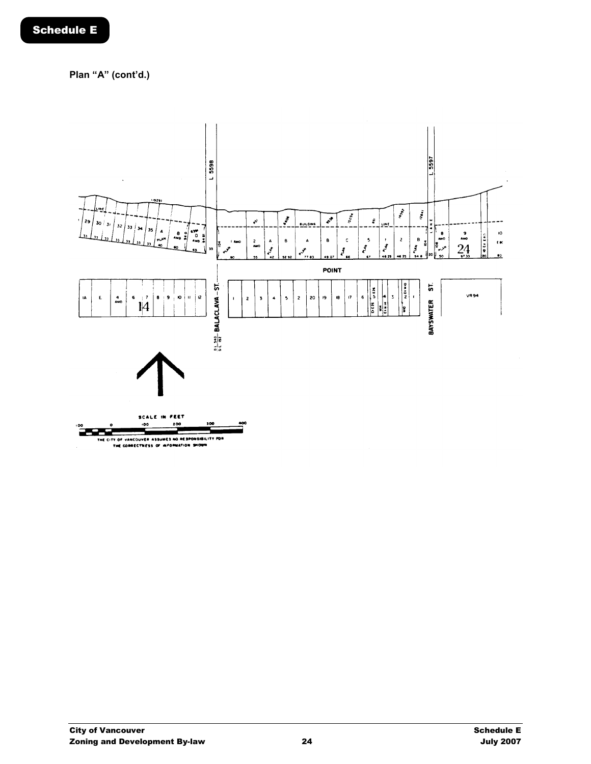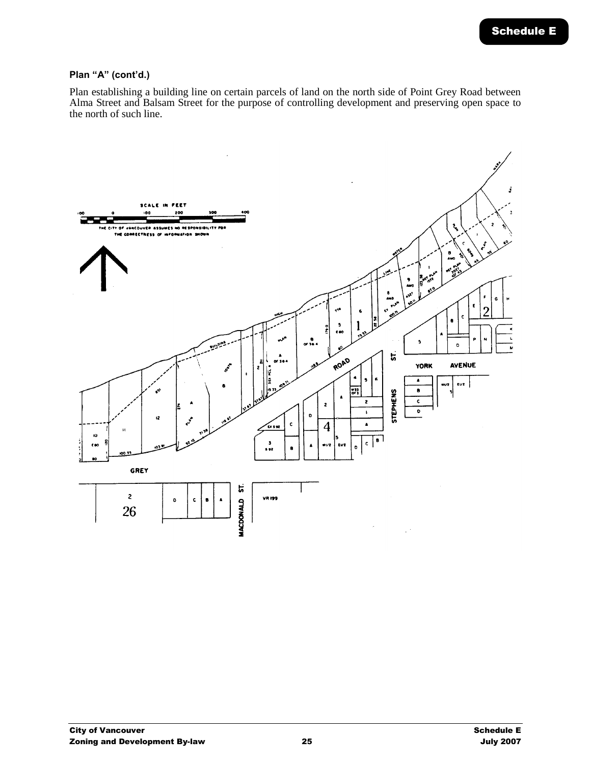Plan establishing a building line on certain parcels of land on the north side of Point Grey Road between Alma Street and Balsam Street for the purpose of controlling development and preserving open space to the north of such line.